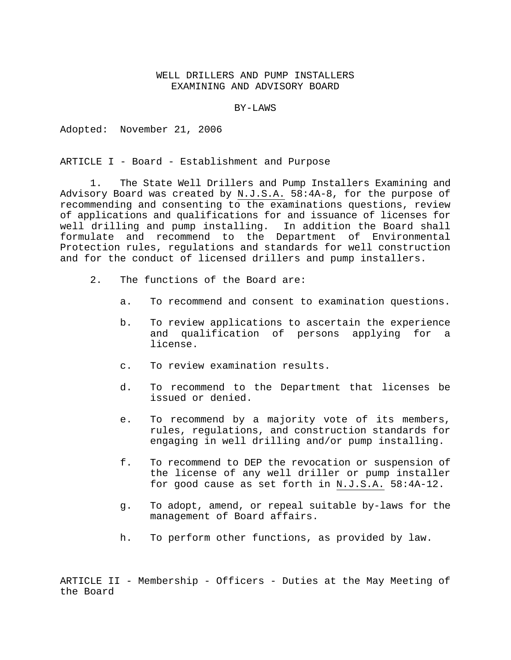## WELL DRILLERS AND PUMP INSTALLERS EXAMINING AND ADVISORY BOARD

BY-LAWS

Adopted: November 21, 2006

ARTICLE I - Board - Establishment and Purpose

1. The State Well Drillers and Pump Installers Examining and Advisory Board was created by N.J.S.A. 58:4A-8, for the purpose of recommending and consenting to the examinations questions, review of applications and qualifications for and issuance of licenses for well drilling and pump installing. In addition the Board shall formulate and recommend to the Department of Environmental Protection rules, regulations and standards for well construction and for the conduct of licensed drillers and pump installers.

- 2. The functions of the Board are:
	- a. To recommend and consent to examination questions.
	- b. To review applications to ascertain the experience and qualification of persons applying for a license.
	- c. To review examination results.
	- d. To recommend to the Department that licenses be issued or denied.
	- e. To recommend by a majority vote of its members, rules, regulations, and construction standards for engaging in well drilling and/or pump installing.
	- f. To recommend to DEP the revocation or suspension of the license of any well driller or pump installer for good cause as set forth in N.J.S.A. 58:4A-12.
	- g. To adopt, amend, or repeal suitable by-laws for the management of Board affairs.
	- h. To perform other functions, as provided by law.

ARTICLE II - Membership - Officers - Duties at the May Meeting of the Board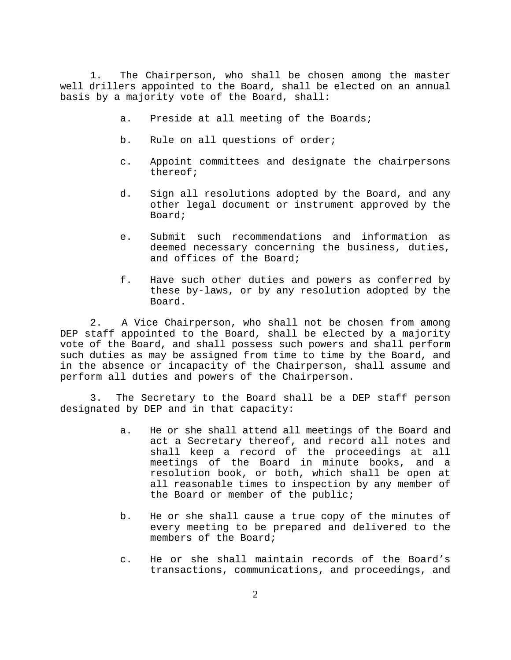1. The Chairperson, who shall be chosen among the master well drillers appointed to the Board, shall be elected on an annual basis by a majority vote of the Board, shall:

- a. Preside at all meeting of the Boards;
- b. Rule on all questions of order;
- c. Appoint committees and designate the chairpersons thereof;
- d. Sign all resolutions adopted by the Board, and any other legal document or instrument approved by the Board;
- e. Submit such recommendations and information as deemed necessary concerning the business, duties, and offices of the Board;
- f. Have such other duties and powers as conferred by these by-laws, or by any resolution adopted by the Board.

2. A Vice Chairperson, who shall not be chosen from among DEP staff appointed to the Board, shall be elected by a majority vote of the Board, and shall possess such powers and shall perform such duties as may be assigned from time to time by the Board, and in the absence or incapacity of the Chairperson, shall assume and perform all duties and powers of the Chairperson.

3. The Secretary to the Board shall be a DEP staff person designated by DEP and in that capacity:

- a. He or she shall attend all meetings of the Board and act a Secretary thereof, and record all notes and shall keep a record of the proceedings at all meetings of the Board in minute books, and a resolution book, or both, which shall be open at all reasonable times to inspection by any member of the Board or member of the public;
- b. He or she shall cause a true copy of the minutes of every meeting to be prepared and delivered to the members of the Board;
- c. He or she shall maintain records of the Board's transactions, communications, and proceedings, and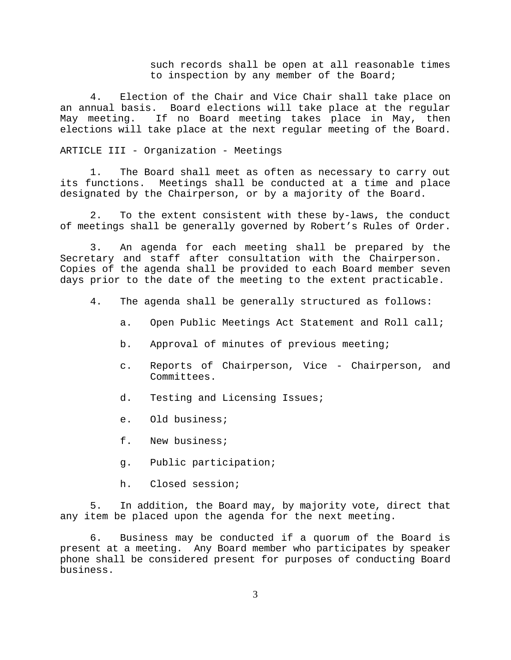such records shall be open at all reasonable times to inspection by any member of the Board;

4. Election of the Chair and Vice Chair shall take place on an annual basis. Board elections will take place at the regular May meeting. If no Board meeting takes place in May, then elections will take place at the next regular meeting of the Board.

## ARTICLE III - Organization - Meetings

1. The Board shall meet as often as necessary to carry out its functions. Meetings shall be conducted at a time and place designated by the Chairperson, or by a majority of the Board.

2. To the extent consistent with these by-laws, the conduct of meetings shall be generally governed by Robert's Rules of Order.

3. An agenda for each meeting shall be prepared by the Secretary and staff after consultation with the Chairperson. Copies of the agenda shall be provided to each Board member seven days prior to the date of the meeting to the extent practicable.

- 4. The agenda shall be generally structured as follows:
	- a. Open Public Meetings Act Statement and Roll call;
	- b. Approval of minutes of previous meeting;
	- c. Reports of Chairperson, Vice Chairperson, and Committees.
	- d. Testing and Licensing Issues;
	- e. Old business;
	- f. New business;
	- g. Public participation;
	- h. Closed session;

5. In addition, the Board may, by majority vote, direct that any item be placed upon the agenda for the next meeting.

6. Business may be conducted if a quorum of the Board is present at a meeting. Any Board member who participates by speaker phone shall be considered present for purposes of conducting Board business.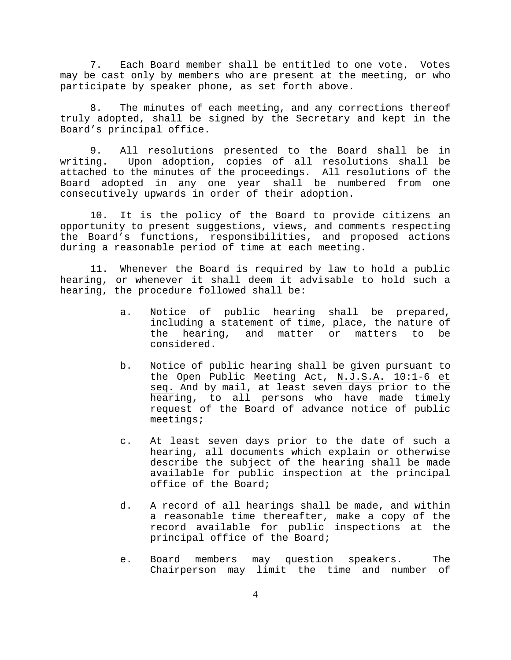7. Each Board member shall be entitled to one vote. Votes may be cast only by members who are present at the meeting, or who participate by speaker phone, as set forth above.

8. The minutes of each meeting, and any corrections thereof truly adopted, shall be signed by the Secretary and kept in the Board's principal office.

9. All resolutions presented to the Board shall be in writing. Upon adoption, copies of all resolutions shall be attached to the minutes of the proceedings. All resolutions of the Board adopted in any one year shall be numbered from one consecutively upwards in order of their adoption.

10. It is the policy of the Board to provide citizens an opportunity to present suggestions, views, and comments respecting the Board's functions, responsibilities, and proposed actions during a reasonable period of time at each meeting.

11. Whenever the Board is required by law to hold a public hearing, or whenever it shall deem it advisable to hold such a hearing, the procedure followed shall be:

- a. Notice of public hearing shall be prepared, including a statement of time, place, the nature of the hearing, and matter or matters to be considered.
- b. Notice of public hearing shall be given pursuant to the Open Public Meeting Act, N.J.S.A. 10:1-6 et seq. And by mail, at least seven days prior to the hearing, to all persons who have made timely request of the Board of advance notice of public meetings;
- c. At least seven days prior to the date of such a hearing, all documents which explain or otherwise describe the subject of the hearing shall be made available for public inspection at the principal office of the Board;
- d. A record of all hearings shall be made, and within a reasonable time thereafter, make a copy of the record available for public inspections at the principal office of the Board;
- e. Board members may question speakers. The Chairperson may limit the time and number of